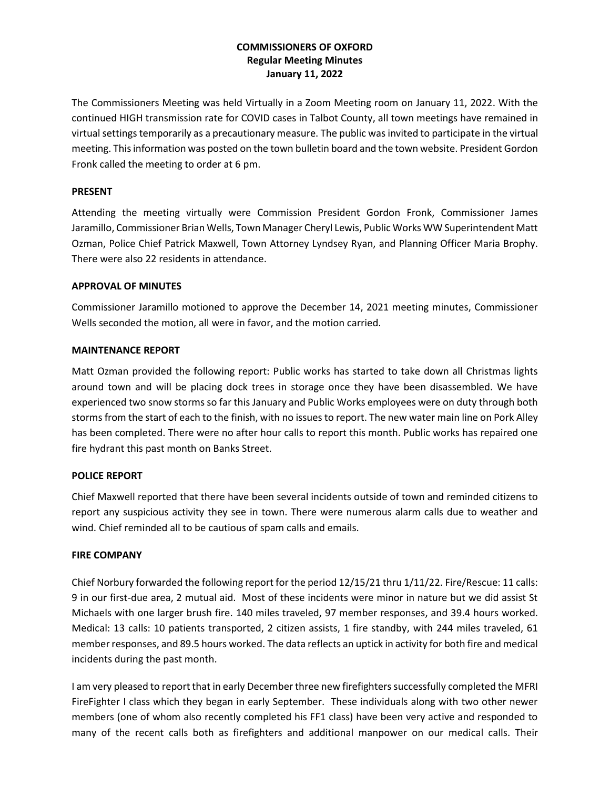# **COMMISSIONERS OF OXFORD Regular Meeting Minutes January 11, 2022**

The Commissioners Meeting was held Virtually in a Zoom Meeting room on January 11, 2022. With the continued HIGH transmission rate for COVID cases in Talbot County, all town meetings have remained in virtual settings temporarily as a precautionary measure. The public was invited to participate in the virtual meeting. This information was posted on the town bulletin board and the town website. President Gordon Fronk called the meeting to order at 6 pm.

### **PRESENT**

Attending the meeting virtually were Commission President Gordon Fronk, Commissioner James Jaramillo, Commissioner Brian Wells, Town Manager Cheryl Lewis, Public Works WW Superintendent Matt Ozman, Police Chief Patrick Maxwell, Town Attorney Lyndsey Ryan, and Planning Officer Maria Brophy. There were also 22 residents in attendance.

### **APPROVAL OF MINUTES**

Commissioner Jaramillo motioned to approve the December 14, 2021 meeting minutes, Commissioner Wells seconded the motion, all were in favor, and the motion carried.

# **MAINTENANCE REPORT**

Matt Ozman provided the following report: Public works has started to take down all Christmas lights around town and will be placing dock trees in storage once they have been disassembled. We have experienced two snow storms so far this January and Public Works employees were on duty through both storms from the start of each to the finish, with no issues to report. The new water main line on Pork Alley has been completed. There were no after hour calls to report this month. Public works has repaired one fire hydrant this past month on Banks Street.

# **POLICE REPORT**

Chief Maxwell reported that there have been several incidents outside of town and reminded citizens to report any suspicious activity they see in town. There were numerous alarm calls due to weather and wind. Chief reminded all to be cautious of spam calls and emails.

### **FIRE COMPANY**

Chief Norbury forwarded the following report for the period 12/15/21 thru 1/11/22. Fire/Rescue: 11 calls: 9 in our first-due area, 2 mutual aid. Most of these incidents were minor in nature but we did assist St Michaels with one larger brush fire. 140 miles traveled, 97 member responses, and 39.4 hours worked. Medical: 13 calls: 10 patients transported, 2 citizen assists, 1 fire standby, with 244 miles traveled, 61 member responses, and 89.5 hours worked. The data reflects an uptick in activity for both fire and medical incidents during the past month.

I am very pleased to report that in early December three new firefighters successfully completed the MFRI FireFighter I class which they began in early September. These individuals along with two other newer members (one of whom also recently completed his FF1 class) have been very active and responded to many of the recent calls both as firefighters and additional manpower on our medical calls. Their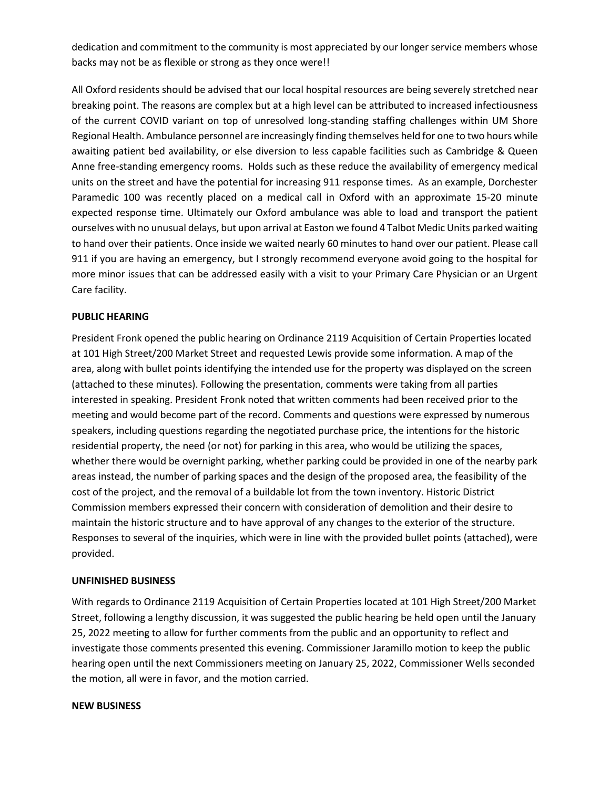dedication and commitment to the community is most appreciated by our longer service members whose backs may not be as flexible or strong as they once were!!

All Oxford residents should be advised that our local hospital resources are being severely stretched near breaking point. The reasons are complex but at a high level can be attributed to increased infectiousness of the current COVID variant on top of unresolved long-standing staffing challenges within UM Shore Regional Health. Ambulance personnel are increasingly finding themselves held for one to two hours while awaiting patient bed availability, or else diversion to less capable facilities such as Cambridge & Queen Anne free-standing emergency rooms. Holds such as these reduce the availability of emergency medical units on the street and have the potential for increasing 911 response times. As an example, Dorchester Paramedic 100 was recently placed on a medical call in Oxford with an approximate 15-20 minute expected response time. Ultimately our Oxford ambulance was able to load and transport the patient ourselves with no unusual delays, but upon arrival at Easton we found 4 Talbot Medic Units parked waiting to hand over their patients. Once inside we waited nearly 60 minutes to hand over our patient. Please call 911 if you are having an emergency, but I strongly recommend everyone avoid going to the hospital for more minor issues that can be addressed easily with a visit to your Primary Care Physician or an Urgent Care facility.

### **PUBLIC HEARING**

President Fronk opened the public hearing on Ordinance 2119 Acquisition of Certain Properties located at 101 High Street/200 Market Street and requested Lewis provide some information. A map of the area, along with bullet points identifying the intended use for the property was displayed on the screen (attached to these minutes). Following the presentation, comments were taking from all parties interested in speaking. President Fronk noted that written comments had been received prior to the meeting and would become part of the record. Comments and questions were expressed by numerous speakers, including questions regarding the negotiated purchase price, the intentions for the historic residential property, the need (or not) for parking in this area, who would be utilizing the spaces, whether there would be overnight parking, whether parking could be provided in one of the nearby park areas instead, the number of parking spaces and the design of the proposed area, the feasibility of the cost of the project, and the removal of a buildable lot from the town inventory. Historic District Commission members expressed their concern with consideration of demolition and their desire to maintain the historic structure and to have approval of any changes to the exterior of the structure. Responses to several of the inquiries, which were in line with the provided bullet points (attached), were provided.

### **UNFINISHED BUSINESS**

With regards to Ordinance 2119 Acquisition of Certain Properties located at 101 High Street/200 Market Street, following a lengthy discussion, it was suggested the public hearing be held open until the January 25, 2022 meeting to allow for further comments from the public and an opportunity to reflect and investigate those comments presented this evening. Commissioner Jaramillo motion to keep the public hearing open until the next Commissioners meeting on January 25, 2022, Commissioner Wells seconded the motion, all were in favor, and the motion carried.

#### **NEW BUSINESS**